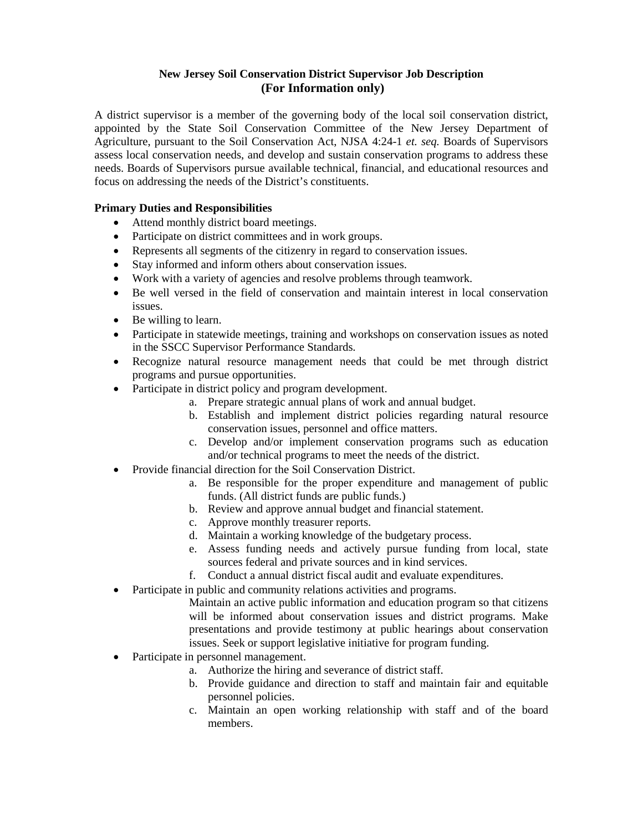# **New Jersey Soil Conservation District Supervisor Job Description (For Information only)**

A district supervisor is a member of the governing body of the local soil conservation district, appointed by the State Soil Conservation Committee of the New Jersey Department of Agriculture, pursuant to the Soil Conservation Act, NJSA 4:24-1 *et. seq.* Boards of Supervisors assess local conservation needs, and develop and sustain conservation programs to address these needs. Boards of Supervisors pursue available technical, financial, and educational resources and focus on addressing the needs of the District's constituents.

# **Primary Duties and Responsibilities**

- Attend monthly district board meetings.
- Participate on district committees and in work groups.
- Represents all segments of the citizenry in regard to conservation issues.
- Stay informed and inform others about conservation issues.
- Work with a variety of agencies and resolve problems through teamwork.
- Be well versed in the field of conservation and maintain interest in local conservation issues.
- Be willing to learn.
- Participate in statewide meetings, training and workshops on conservation issues as noted in the SSCC Supervisor Performance Standards.
- Recognize natural resource management needs that could be met through district programs and pursue opportunities.
- Participate in district policy and program development.
	- a. Prepare strategic annual plans of work and annual budget.
	- b. Establish and implement district policies regarding natural resource conservation issues, personnel and office matters.
	- c. Develop and/or implement conservation programs such as education and/or technical programs to meet the needs of the district.
- Provide financial direction for the Soil Conservation District.
	- a. Be responsible for the proper expenditure and management of public funds. (All district funds are public funds.)
	- b. Review and approve annual budget and financial statement.
	- c. Approve monthly treasurer reports.
	- d. Maintain a working knowledge of the budgetary process.
	- e. Assess funding needs and actively pursue funding from local, state sources federal and private sources and in kind services.
	- f. Conduct a annual district fiscal audit and evaluate expenditures.
- Participate in public and community relations activities and programs.

Maintain an active public information and education program so that citizens will be informed about conservation issues and district programs. Make presentations and provide testimony at public hearings about conservation issues. Seek or support legislative initiative for program funding.

- Participate in personnel management.
	- a. Authorize the hiring and severance of district staff.
	- b. Provide guidance and direction to staff and maintain fair and equitable personnel policies.
	- c. Maintain an open working relationship with staff and of the board members.